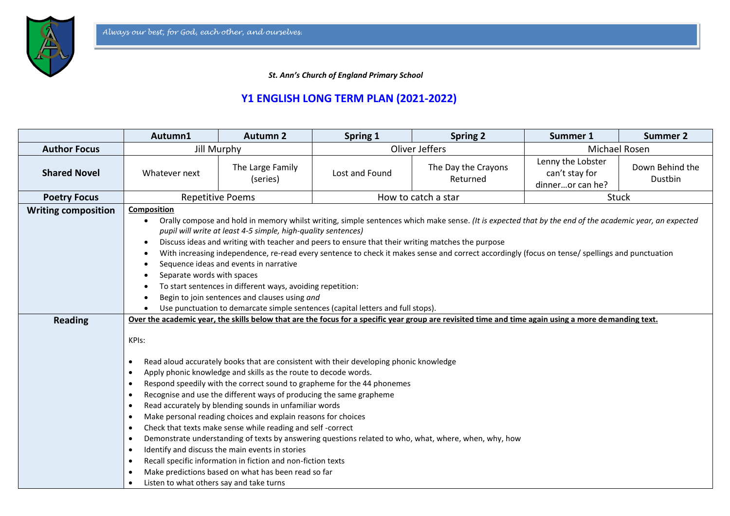

 *St. Ann's Church of England Primary School*

## **Y1 ENGLISH LONG TERM PLAN (2021-2022)**

|                            | Autumn1                                                                                                                                                                                                                                                                                                                                                                                                                                                                                                                                                                                                                                                                                                                                                                  | <b>Autumn 2</b>                                                                                                                                                                                                                                | Spring 1            | <b>Spring 2</b>                                                                                       | Summer 1                                                | <b>Summer 2</b>            |
|----------------------------|--------------------------------------------------------------------------------------------------------------------------------------------------------------------------------------------------------------------------------------------------------------------------------------------------------------------------------------------------------------------------------------------------------------------------------------------------------------------------------------------------------------------------------------------------------------------------------------------------------------------------------------------------------------------------------------------------------------------------------------------------------------------------|------------------------------------------------------------------------------------------------------------------------------------------------------------------------------------------------------------------------------------------------|---------------------|-------------------------------------------------------------------------------------------------------|---------------------------------------------------------|----------------------------|
| <b>Author Focus</b>        | <b>Jill Murphy</b>                                                                                                                                                                                                                                                                                                                                                                                                                                                                                                                                                                                                                                                                                                                                                       |                                                                                                                                                                                                                                                | Oliver Jeffers      |                                                                                                       | Michael Rosen                                           |                            |
| <b>Shared Novel</b>        | Whatever next                                                                                                                                                                                                                                                                                                                                                                                                                                                                                                                                                                                                                                                                                                                                                            | The Large Family<br>(series)                                                                                                                                                                                                                   | Lost and Found      | The Day the Crayons<br>Returned                                                                       | Lenny the Lobster<br>can't stay for<br>dinneror can he? | Down Behind the<br>Dustbin |
| <b>Poetry Focus</b>        | <b>Repetitive Poems</b>                                                                                                                                                                                                                                                                                                                                                                                                                                                                                                                                                                                                                                                                                                                                                  |                                                                                                                                                                                                                                                | How to catch a star |                                                                                                       | <b>Stuck</b>                                            |                            |
| <b>Writing composition</b> | Composition<br>Orally compose and hold in memory whilst writing, simple sentences which make sense. (It is expected that by the end of the academic year, an expected<br>pupil will write at least 4-5 simple, high-quality sentences)<br>Discuss ideas and writing with teacher and peers to ensure that their writing matches the purpose<br>With increasing independence, re-read every sentence to check it makes sense and correct accordingly (focus on tense/ spellings and punctuation<br>Sequence ideas and events in narrative<br>Separate words with spaces<br>To start sentences in different ways, avoiding repetition:<br>Begin to join sentences and clauses using and<br>Use punctuation to demarcate simple sentences (capital letters and full stops). |                                                                                                                                                                                                                                                |                     |                                                                                                       |                                                         |                            |
| <b>Reading</b>             | Over the academic year, the skills below that are the focus for a specific year group are revisited time and time again using a more demanding text.                                                                                                                                                                                                                                                                                                                                                                                                                                                                                                                                                                                                                     |                                                                                                                                                                                                                                                |                     |                                                                                                       |                                                         |                            |
|                            | KPIs:<br>Read aloud accurately books that are consistent with their developing phonic knowledge<br>$\bullet$<br>Apply phonic knowledge and skills as the route to decode words.<br>$\bullet$<br>Respond speedily with the correct sound to grapheme for the 44 phonemes<br>$\bullet$<br>Recognise and use the different ways of producing the same grapheme<br>$\bullet$<br>Read accurately by blending sounds in unfamiliar words<br>$\bullet$                                                                                                                                                                                                                                                                                                                          |                                                                                                                                                                                                                                                |                     |                                                                                                       |                                                         |                            |
|                            | $\bullet$<br>$\bullet$<br>$\bullet$<br>$\bullet$<br>$\bullet$                                                                                                                                                                                                                                                                                                                                                                                                                                                                                                                                                                                                                                                                                                            | Make personal reading choices and explain reasons for choices<br>Check that texts make sense while reading and self-correct<br>Identify and discuss the main events in stories<br>Recall specific information in fiction and non-fiction texts |                     | Demonstrate understanding of texts by answering questions related to who, what, where, when, why, how |                                                         |                            |
|                            | Listen to what others say and take turns                                                                                                                                                                                                                                                                                                                                                                                                                                                                                                                                                                                                                                                                                                                                 | Make predictions based on what has been read so far                                                                                                                                                                                            |                     |                                                                                                       |                                                         |                            |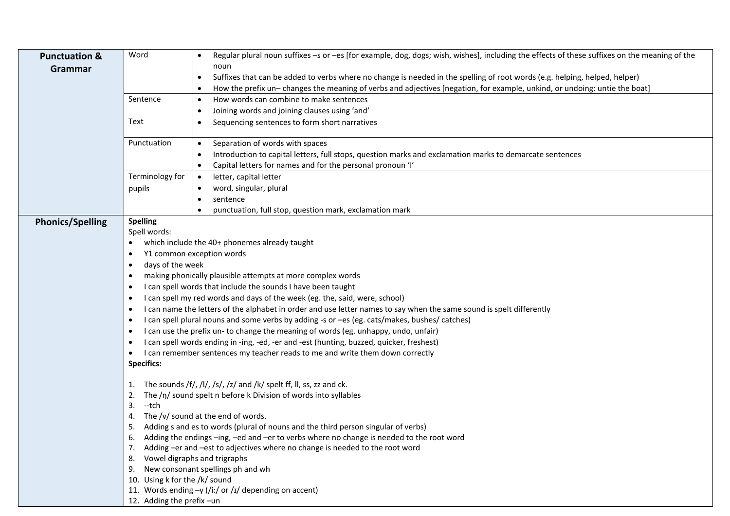| <b>Punctuation &amp;</b> | Word                                                                  | Regular plural noun suffixes -s or -es [for example, dog, dogs; wish, wishes], including the effects of these suffixes on the meaning of the<br>$\bullet$ |  |  |  |  |
|--------------------------|-----------------------------------------------------------------------|-----------------------------------------------------------------------------------------------------------------------------------------------------------|--|--|--|--|
| Grammar                  |                                                                       | noun                                                                                                                                                      |  |  |  |  |
|                          |                                                                       | Suffixes that can be added to verbs where no change is needed in the spelling of root words (e.g. helping, helped, helper)<br>$\bullet$                   |  |  |  |  |
|                          |                                                                       | How the prefix un-changes the meaning of verbs and adjectives [negation, for example, unkind, or undoing: untie the boat]                                 |  |  |  |  |
|                          | Sentence                                                              | How words can combine to make sentences<br>$\bullet$                                                                                                      |  |  |  |  |
|                          |                                                                       | Joining words and joining clauses using 'and'<br>$\bullet$                                                                                                |  |  |  |  |
|                          | Text                                                                  | Sequencing sentences to form short narratives<br>$\bullet$                                                                                                |  |  |  |  |
|                          | Punctuation                                                           | Separation of words with spaces<br>$\bullet$                                                                                                              |  |  |  |  |
|                          |                                                                       | Introduction to capital letters, full stops, question marks and exclamation marks to demarcate sentences<br>$\bullet$                                     |  |  |  |  |
|                          |                                                                       | Capital letters for names and for the personal pronoun 'I'<br>$\bullet$                                                                                   |  |  |  |  |
|                          | Terminology for                                                       | letter, capital letter<br>$\bullet$                                                                                                                       |  |  |  |  |
|                          | pupils                                                                | word, singular, plural                                                                                                                                    |  |  |  |  |
|                          |                                                                       | sentence                                                                                                                                                  |  |  |  |  |
|                          |                                                                       | punctuation, full stop, question mark, exclamation mark                                                                                                   |  |  |  |  |
| <b>Phonics/Spelling</b>  | <b>Spelling</b>                                                       |                                                                                                                                                           |  |  |  |  |
|                          | Spell words:                                                          |                                                                                                                                                           |  |  |  |  |
|                          | which include the 40+ phonemes already taught<br>$\bullet$            |                                                                                                                                                           |  |  |  |  |
|                          | Y1 common exception words                                             |                                                                                                                                                           |  |  |  |  |
|                          | days of the week<br>$\bullet$                                         |                                                                                                                                                           |  |  |  |  |
|                          |                                                                       | making phonically plausible attempts at more complex words                                                                                                |  |  |  |  |
|                          |                                                                       | I can spell words that include the sounds I have been taught                                                                                              |  |  |  |  |
|                          | $\bullet$                                                             | I can spell my red words and days of the week (eg. the, said, were, school)                                                                               |  |  |  |  |
|                          | $\bullet$                                                             | I can name the letters of the alphabet in order and use letter names to say when the same sound is spelt differently                                      |  |  |  |  |
|                          | ٠                                                                     | I can spell plural nouns and some verbs by adding -s or -es (eg. cats/makes, bushes/ catches)                                                             |  |  |  |  |
|                          |                                                                       | I can use the prefix un-to change the meaning of words (eg. unhappy, undo, unfair)                                                                        |  |  |  |  |
|                          |                                                                       | I can spell words ending in -ing, -ed, -er and -est (hunting, buzzed, quicker, freshest)                                                                  |  |  |  |  |
|                          | $\bullet$                                                             | I can remember sentences my teacher reads to me and write them down correctly                                                                             |  |  |  |  |
|                          | <b>Specifics:</b>                                                     |                                                                                                                                                           |  |  |  |  |
|                          | 1. The sounds /f/, /l/, /s/, /z/ and /k/ spelt ff, ll, ss, zz and ck. |                                                                                                                                                           |  |  |  |  |
|                          | The /ŋ/ sound spelt n before k Division of words into syllables<br>2. |                                                                                                                                                           |  |  |  |  |
|                          | --tch<br>3.                                                           |                                                                                                                                                           |  |  |  |  |
|                          |                                                                       | 4. The /v/ sound at the end of words.                                                                                                                     |  |  |  |  |
|                          |                                                                       | 5. Adding s and es to words (plural of nouns and the third person singular of verbs)                                                                      |  |  |  |  |
|                          |                                                                       | 6. Adding the endings -ing, -ed and -er to verbs where no change is needed to the root word                                                               |  |  |  |  |
|                          |                                                                       | 7. Adding -er and -est to adjectives where no change is needed to the root word                                                                           |  |  |  |  |
|                          |                                                                       | 8. Vowel digraphs and trigraphs                                                                                                                           |  |  |  |  |
|                          |                                                                       | 9. New consonant spellings ph and wh                                                                                                                      |  |  |  |  |
|                          |                                                                       | 10. Using k for the /k/ sound                                                                                                                             |  |  |  |  |
|                          |                                                                       | 11. Words ending $-y$ (/i:/ or /ɪ/ depending on accent)                                                                                                   |  |  |  |  |
|                          | 12. Adding the prefix-un                                              |                                                                                                                                                           |  |  |  |  |